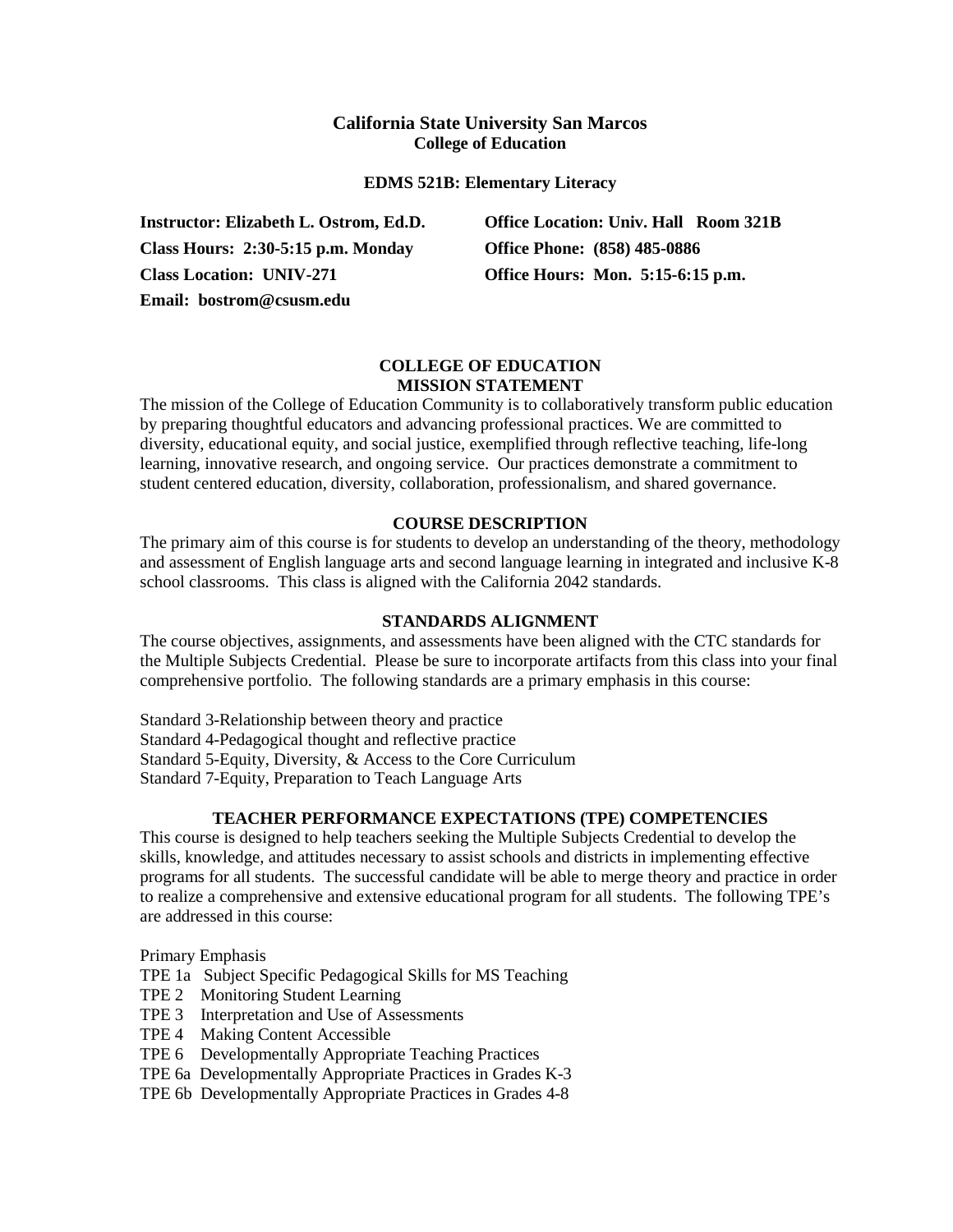# **California State University San Marcos College of Education**

### **EDMS 521B: Elementary Literacy**

**Class Hours: 2:30-5:15 p.m. Monday Office Phone: (858) 485-0886 Class Location: UNIV-271 Office Hours: Mon. 5:15-6:15 p.m. Email: bostrom@csusm.edu**

**Instructor: Elizabeth L. Ostrom, Ed.D. Office Location: Univ. Hall Room 321B**

### **COLLEGE OF EDUCATION MISSION STATEMENT**

The mission of the College of Education Community is to collaboratively transform public education by preparing thoughtful educators and advancing professional practices. We are committed to diversity, educational equity, and social justice, exemplified through reflective teaching, life-long learning, innovative research, and ongoing service. Our practices demonstrate a commitment to student centered education, diversity, collaboration, professionalism, and shared governance.

### **COURSE DESCRIPTION**

The primary aim of this course is for students to develop an understanding of the theory, methodology and assessment of English language arts and second language learning in integrated and inclusive K-8 school classrooms. This class is aligned with the California 2042 standards.

### **STANDARDS ALIGNMENT**

The course objectives, assignments, and assessments have been aligned with the CTC standards for the Multiple Subjects Credential. Please be sure to incorporate artifacts from this class into your final comprehensive portfolio. The following standards are a primary emphasis in this course:

Standard 3-Relationship between theory and practice Standard 4-Pedagogical thought and reflective practice Standard 5-Equity, Diversity, & Access to the Core Curriculum Standard 7-Equity, Preparation to Teach Language Arts

### **TEACHER PERFORMANCE EXPECTATIONS (TPE) COMPETENCIES**

This course is designed to help teachers seeking the Multiple Subjects Credential to develop the skills, knowledge, and attitudes necessary to assist schools and districts in implementing effective programs for all students. The successful candidate will be able to merge theory and practice in order to realize a comprehensive and extensive educational program for all students. The following TPE's are addressed in this course:

Primary Emphasis

- TPE 1a Subject Specific Pedagogical Skills for MS Teaching
- TPE 2 Monitoring Student Learning
- TPE 3 Interpretation and Use of Assessments
- TPE 4 Making Content Accessible
- TPE 6 Developmentally Appropriate Teaching Practices
- TPE 6a Developmentally Appropriate Practices in Grades K-3
- TPE 6b Developmentally Appropriate Practices in Grades 4-8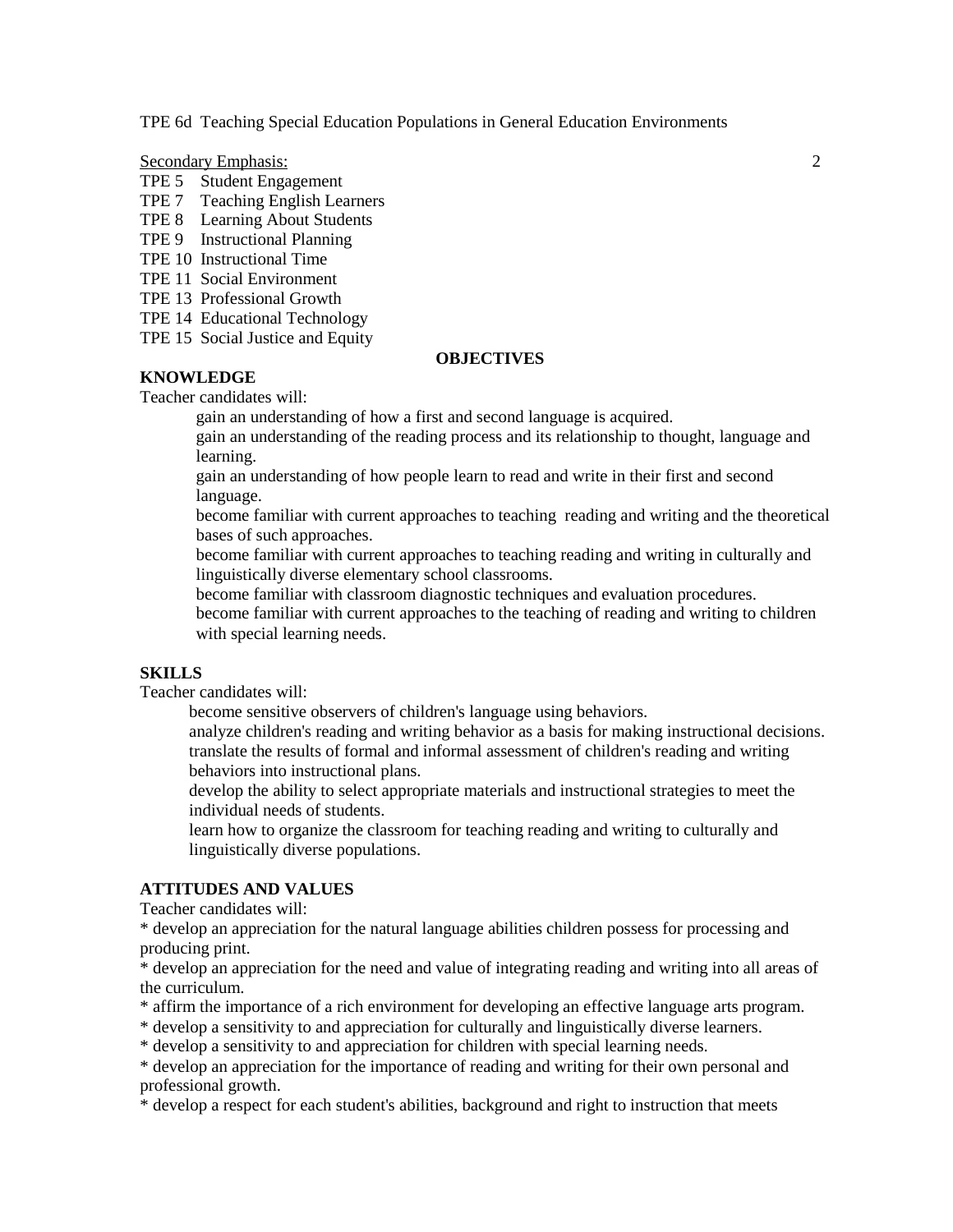TPE 6d Teaching Special Education Populations in General Education Environments

Secondary Emphasis: 2

- TPE 5 Student Engagement
- TPE 7 Teaching English Learners
- TPE 8 Learning About Students
- TPE 9 Instructional Planning
- TPE 10 Instructional Time
- TPE 11 Social Environment
- TPE 13 Professional Growth
- TPE 14 Educational Technology
- TPE 15 Social Justice and Equity

### **OBJECTIVES**

# **KNOWLEDGE**

Teacher candidates will:

gain an understanding of how a first and second language is acquired.

gain an understanding of the reading process and its relationship to thought, language and learning.

gain an understanding of how people learn to read and write in their first and second language.

become familiar with current approaches to teaching reading and writing and the theoretical bases of such approaches.

become familiar with current approaches to teaching reading and writing in culturally and linguistically diverse elementary school classrooms.

become familiar with classroom diagnostic techniques and evaluation procedures.

become familiar with current approaches to the teaching of reading and writing to children with special learning needs.

### **SKILLS**

Teacher candidates will:

become sensitive observers of children's language using behaviors.

analyze children's reading and writing behavior as a basis for making instructional decisions. translate the results of formal and informal assessment of children's reading and writing behaviors into instructional plans.

develop the ability to select appropriate materials and instructional strategies to meet the individual needs of students.

learn how to organize the classroom for teaching reading and writing to culturally and linguistically diverse populations.

# **ATTITUDES AND VALUES**

Teacher candidates will:

\* develop an appreciation for the natural language abilities children possess for processing and producing print.

\* develop an appreciation for the need and value of integrating reading and writing into all areas of the curriculum.

- \* affirm the importance of a rich environment for developing an effective language arts program.
- \* develop a sensitivity to and appreciation for culturally and linguistically diverse learners.

\* develop a sensitivity to and appreciation for children with special learning needs.

\* develop an appreciation for the importance of reading and writing for their own personal and professional growth.

\* develop a respect for each student's abilities, background and right to instruction that meets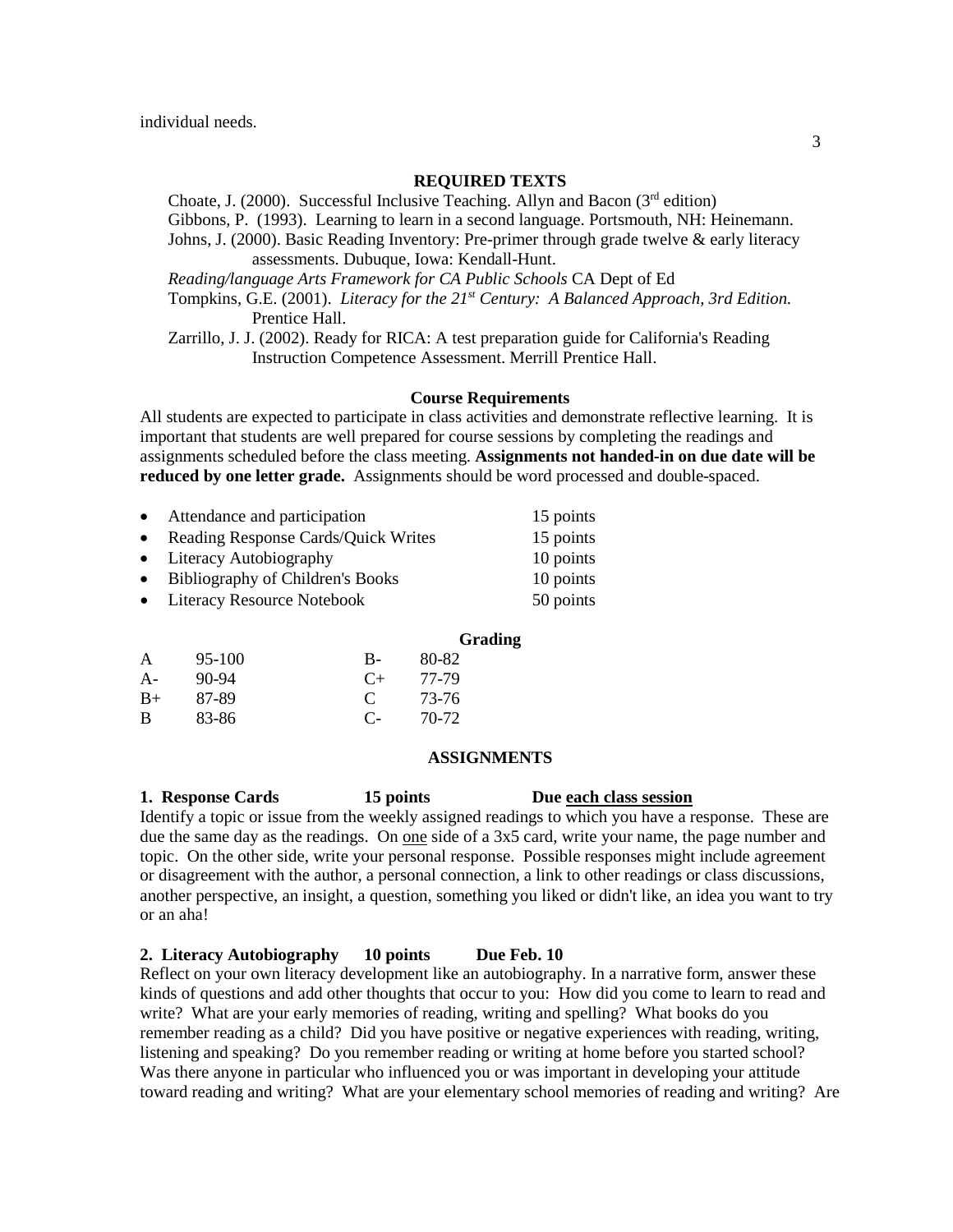### **REQUIRED TEXTS**

Choate, J. (2000). Successful Inclusive Teaching. Allyn and Bacon ( $3<sup>rd</sup>$  edition)

Gibbons, P. (1993). Learning to learn in a second language. Portsmouth, NH: Heinemann. Johns, J. (2000). Basic Reading Inventory: Pre-primer through grade twelve & early literacy

assessments. Dubuque, Iowa: Kendall-Hunt.

*Reading/language Arts Framework for CA Public Schools* CA Dept of Ed

Tompkins, G.E. (2001). *Literacy for the 21st Century: A Balanced Approach, 3rd Edition.* Prentice Hall.

Zarrillo, J. J. (2002). Ready for RICA: A test preparation guide for California's Reading Instruction Competence Assessment. Merrill Prentice Hall.

#### **Course Requirements**

All students are expected to participate in class activities and demonstrate reflective learning. It is important that students are well prepared for course sessions by completing the readings and assignments scheduled before the class meeting. **Assignments not handed-in on due date will be reduced by one letter grade.** Assignments should be word processed and double-spaced.

| $\bullet$ | Attendance and participation          | 15 points |
|-----------|---------------------------------------|-----------|
|           | • Reading Response Cards/Quick Writes | 15 points |
|           | • Literacy Autobiography              | 10 points |
|           | • Bibliography of Children's Books    | 10 points |
|           | • Literacy Resource Notebook          | 50 points |
|           |                                       |           |

#### **Grading**

| A     | $95-100$ | В-            | 80-82 |
|-------|----------|---------------|-------|
| $A -$ | 90-94    | $C+$          | 77-79 |
| $B+$  | 87-89    | $\mathcal{C}$ | 73-76 |
| B     | 83-86    | $\mathbf{C}$  | 70-72 |

#### **ASSIGNMENTS**

**1. Response Cards 15 points Due each class session**

Identify a topic or issue from the weekly assigned readings to which you have a response. These are due the same day as the readings. On one side of a 3x5 card, write your name, the page number and topic. On the other side, write your personal response. Possible responses might include agreement or disagreement with the author, a personal connection, a link to other readings or class discussions, another perspective, an insight, a question, something you liked or didn't like, an idea you want to try or an aha!

### **2. Literacy Autobiography 10 points Due Feb. 10**

Reflect on your own literacy development like an autobiography. In a narrative form, answer these kinds of questions and add other thoughts that occur to you: How did you come to learn to read and write? What are your early memories of reading, writing and spelling? What books do you remember reading as a child? Did you have positive or negative experiences with reading, writing, listening and speaking? Do you remember reading or writing at home before you started school? Was there anyone in particular who influenced you or was important in developing your attitude toward reading and writing? What are your elementary school memories of reading and writing? Are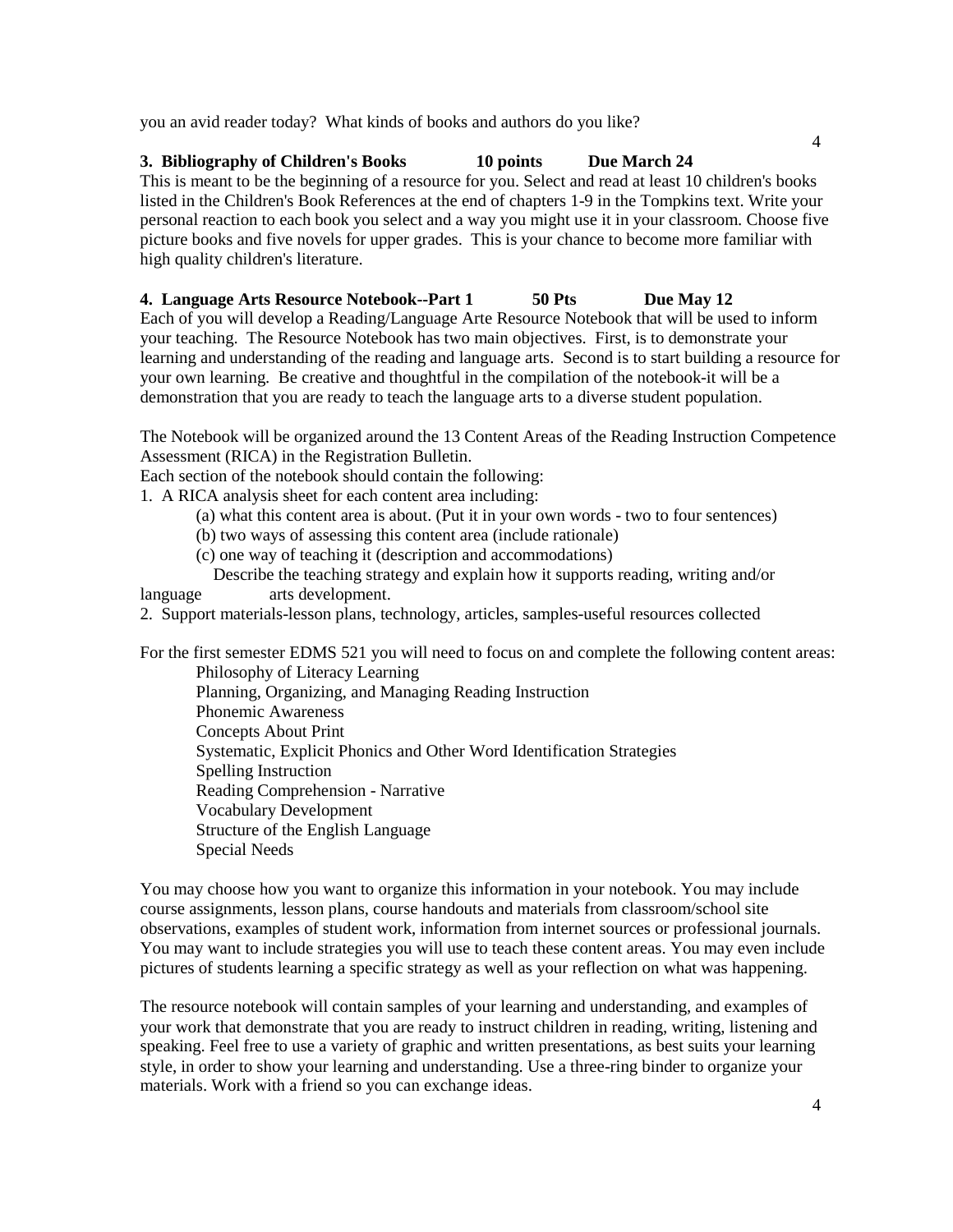you an avid reader today? What kinds of books and authors do you like?

# **3. Bibliography of Children's Books 10 points Due March 24**

This is meant to be the beginning of a resource for you. Select and read at least 10 children's books listed in the Children's Book References at the end of chapters 1-9 in the Tompkins text. Write your personal reaction to each book you select and a way you might use it in your classroom. Choose five picture books and five novels for upper grades. This is your chance to become more familiar with high quality children's literature.

# **4. Language Arts Resource Notebook--Part 1 50 Pts Due May 12**

Each of you will develop a Reading/Language Arte Resource Notebook that will be used to inform your teaching. The Resource Notebook has two main objectives. First, is to demonstrate your learning and understanding of the reading and language arts. Second is to start building a resource for your own learning. Be creative and thoughtful in the compilation of the notebook-it will be a demonstration that you are ready to teach the language arts to a diverse student population.

The Notebook will be organized around the 13 Content Areas of the Reading Instruction Competence Assessment (RICA) in the Registration Bulletin.

Each section of the notebook should contain the following:

1. A RICA analysis sheet for each content area including:

- (a) what this content area is about. (Put it in your own words two to four sentences)
- (b) two ways of assessing this content area (include rationale)
- (c) one way of teaching it (description and accommodations)

 Describe the teaching strategy and explain how it supports reading, writing and/or language arts development.

2. Support materials-lesson plans, technology, articles, samples-useful resources collected

For the first semester EDMS 521 you will need to focus on and complete the following content areas: Philosophy of Literacy Learning Planning, Organizing, and Managing Reading Instruction

Phonemic Awareness Concepts About Print Systematic, Explicit Phonics and Other Word Identification Strategies Spelling Instruction Reading Comprehension - Narrative Vocabulary Development Structure of the English Language Special Needs

You may choose how you want to organize this information in your notebook. You may include course assignments, lesson plans, course handouts and materials from classroom/school site observations, examples of student work, information from internet sources or professional journals. You may want to include strategies you will use to teach these content areas. You may even include pictures of students learning a specific strategy as well as your reflection on what was happening.

The resource notebook will contain samples of your learning and understanding, and examples of your work that demonstrate that you are ready to instruct children in reading, writing, listening and speaking. Feel free to use a variety of graphic and written presentations, as best suits your learning style, in order to show your learning and understanding. Use a three-ring binder to organize your materials. Work with a friend so you can exchange ideas.